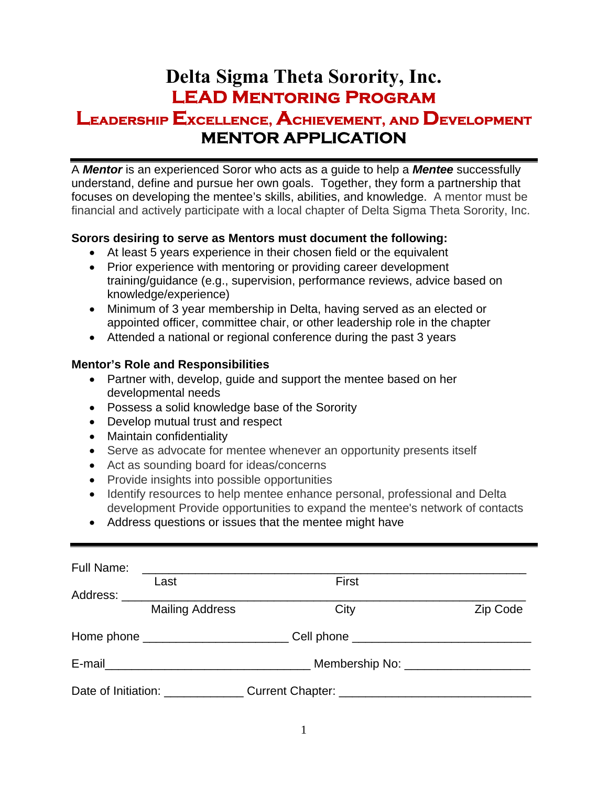# **Delta Sigma Theta Sorority, Inc. LEAD Mentoring Program**

## **Leadership Excellence, Achievement, and Development MENTOR APPLICATION**

A *Mentor* is an experienced Soror who acts as a guide to help a *Mentee* successfully understand, define and pursue her own goals. Together, they form a partnership that focuses on developing the mentee's skills, abilities, and knowledge. A mentor must be financial and actively participate with a local chapter of Delta Sigma Theta Sorority, Inc.

### **Sorors desiring to serve as Mentors must document the following:**

- At least 5 years experience in their chosen field or the equivalent
- Prior experience with mentoring or providing career development training/guidance (e.g., supervision, performance reviews, advice based on knowledge/experience)
- Minimum of 3 year membership in Delta, having served as an elected or appointed officer, committee chair, or other leadership role in the chapter
- Attended a national or regional conference during the past 3 years

### **Mentor's Role and Responsibilities**

- Partner with, develop, guide and support the mentee based on her developmental needs
- Possess a solid knowledge base of the Sorority
- Develop mutual trust and respect
- Maintain confidentiality
- Serve as advocate for mentee whenever an opportunity presents itself
- Act as sounding board for ideas/concerns
- Provide insights into possible opportunities
- Identify resources to help mentee enhance personal, professional and Delta development Provide opportunities to expand the mentee's network of contacts
- Address questions or issues that the mentee might have

| Full Name:                         | <u> 1980 - Andrea Andrew Maria (h. 1980).</u> |                                                                                                                                                                                                                               |          |
|------------------------------------|-----------------------------------------------|-------------------------------------------------------------------------------------------------------------------------------------------------------------------------------------------------------------------------------|----------|
|                                    | Last                                          | First                                                                                                                                                                                                                         |          |
| Address: ______________            |                                               |                                                                                                                                                                                                                               |          |
|                                    | <b>Mailing Address</b>                        | City                                                                                                                                                                                                                          | Zip Code |
|                                    |                                               | Home phone ___________________________Cell phone _______________________________                                                                                                                                              |          |
|                                    |                                               | Membership No: North Membership North Allen Membership North Allen Membership North Allen Membership North Allen Membership North Allen Membership North Allen Membership North Allen Membership North Allen Membership North |          |
| Date of Initiation: ______________ |                                               |                                                                                                                                                                                                                               |          |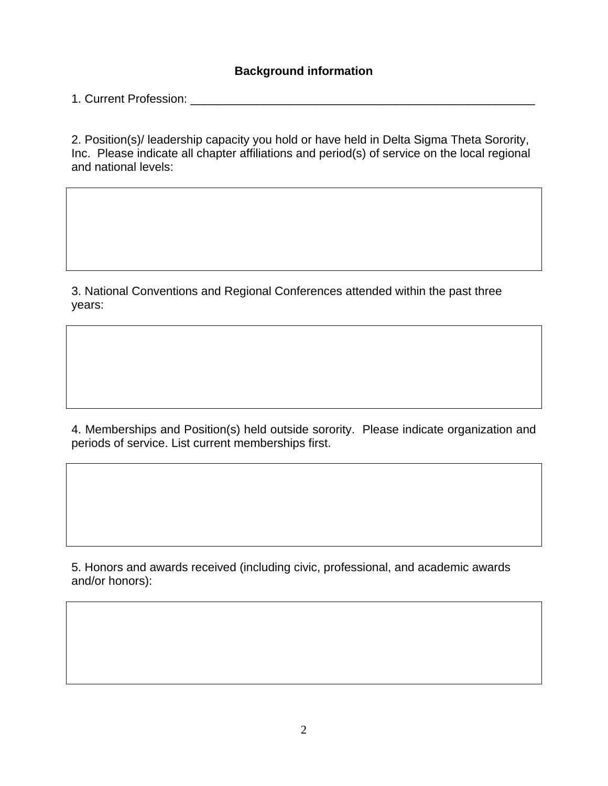#### **Background information**

1. Current Profession: **We are all that the end of the end of the end of the end of the end of the end of the end** 

2. Position(s)/ leadership capacity you hold or have held in Delta Sigma Theta Sorority, Inc. Please indicate all chapter affiliations and period(s) of service on the local regional and national levels:

3. National Conventions and Regional Conferences attended within the past three years:

4. Memberships and Position(s) held outside sorority. Please indicate organization and periods of service. List current memberships first.

5. Honors and awards received (including civic, professional, and academic awards and/or honors):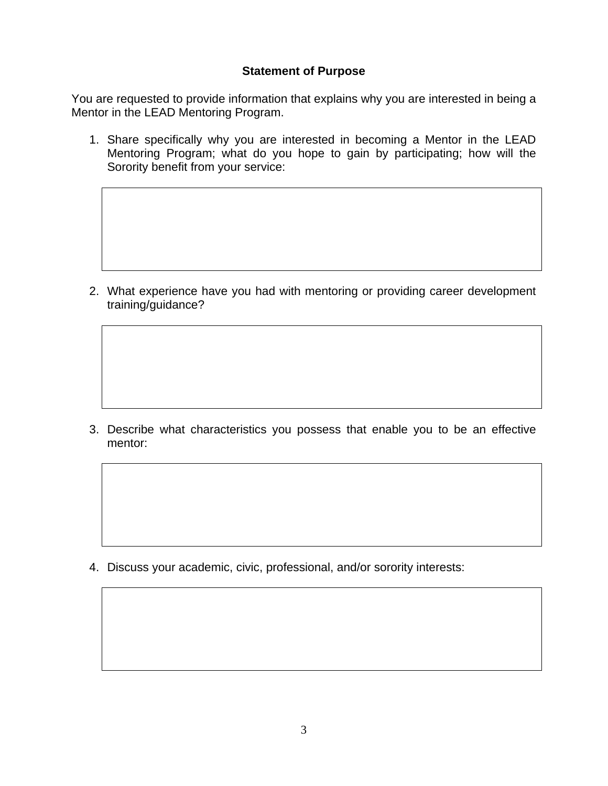#### **Statement of Purpose**

You are requested to provide information that explains why you are interested in being a Mentor in the LEAD Mentoring Program.

1. Share specifically why you are interested in becoming a Mentor in the LEAD Mentoring Program; what do you hope to gain by participating; how will the Sorority benefit from your service:

2. What experience have you had with mentoring or providing career development training/guidance?

3. Describe what characteristics you possess that enable you to be an effective mentor:

4. Discuss your academic, civic, professional, and/or sorority interests: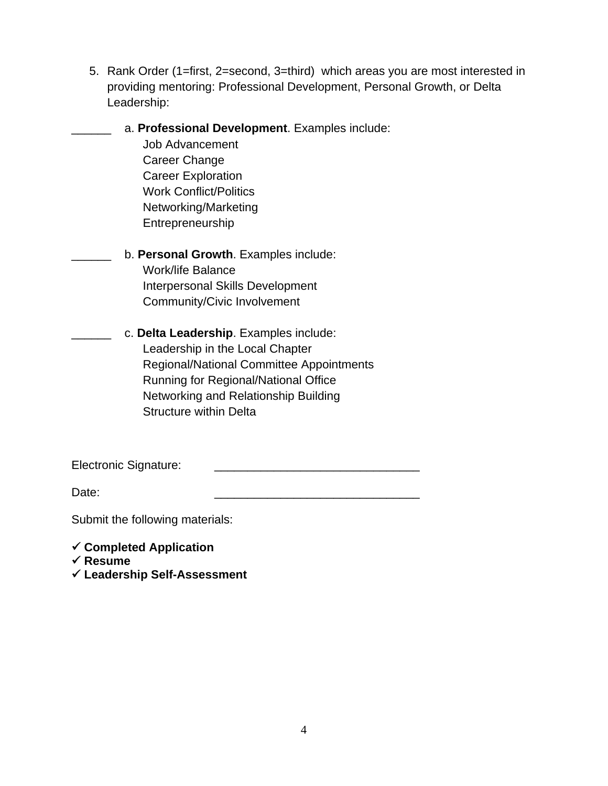5. Rank Order (1=first, 2=second, 3=third) which areas you are most interested in providing mentoring: Professional Development, Personal Growth, or Delta Leadership:

\_\_\_\_\_\_ a. **Professional Development**. Examples include: Job Advancement Career Change Career Exploration Work Conflict/Politics Networking/Marketing Entrepreneurship \_\_\_\_\_\_ b. **Personal Growth**. Examples include: Work/life Balance Interpersonal Skills Development Community/Civic Involvement

\_\_\_\_\_\_ c. **Delta Leadership**. Examples include: Leadership in the Local Chapter Regional/National Committee Appointments Running for Regional/National Office Networking and Relationship Building Structure within Delta

Electronic Signature:

Date: \_\_\_\_\_\_\_\_\_\_\_\_\_\_\_\_\_\_\_\_\_\_\_\_\_\_\_\_\_\_\_

Submit the following materials:

 **Completed Application** 

- **Resume**
- **Leadership Self-Assessment**